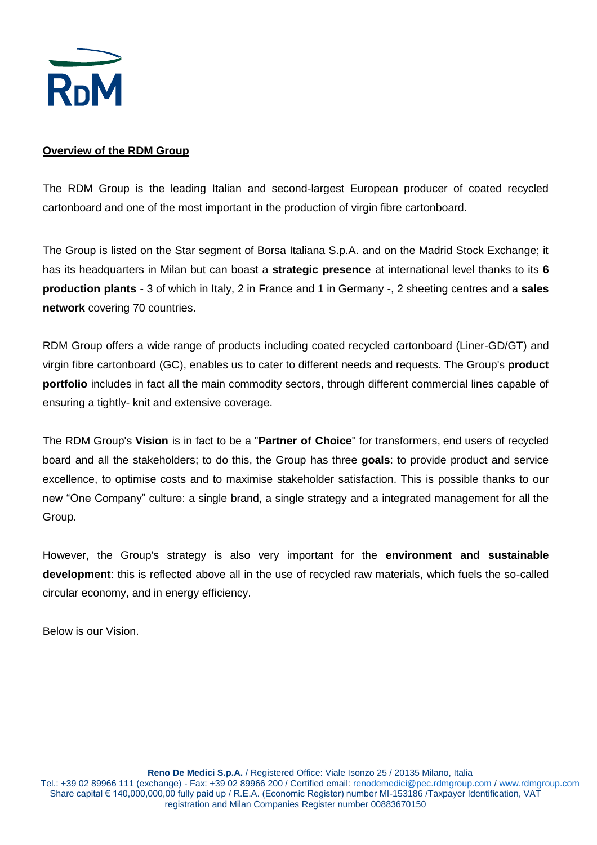

#### **Overview of the RDM Group**

The RDM Group is the leading Italian and second-largest European producer of coated recycled cartonboard and one of the most important in the production of virgin fibre cartonboard.

The Group is listed on the Star segment of Borsa Italiana S.p.A. and on the Madrid Stock Exchange; it has its headquarters in Milan but can boast a **strategic presence** at international level thanks to its **6 production plants** - 3 of which in Italy, 2 in France and 1 in Germany -, 2 sheeting centres and a **sales network** covering 70 countries.

RDM Group offers a wide range of products including coated recycled cartonboard (Liner-GD/GT) and virgin fibre cartonboard (GC), enables us to cater to different needs and requests. The Group's **product portfolio** includes in fact all the main commodity sectors, through different commercial lines capable of ensuring a tightly- knit and extensive coverage.

The RDM Group's **Vision** is in fact to be a "**Partner of Choice**" for transformers, end users of recycled board and all the stakeholders; to do this, the Group has three **goals**: to provide product and service excellence, to optimise costs and to maximise stakeholder satisfaction. This is possible thanks to our new "One Company" culture: a single brand, a single strategy and a integrated management for all the Group.

However, the Group's strategy is also very important for the **environment and sustainable development**: this is reflected above all in the use of recycled raw materials, which fuels the so-called circular economy, and in energy efficiency.

Below is our Vision.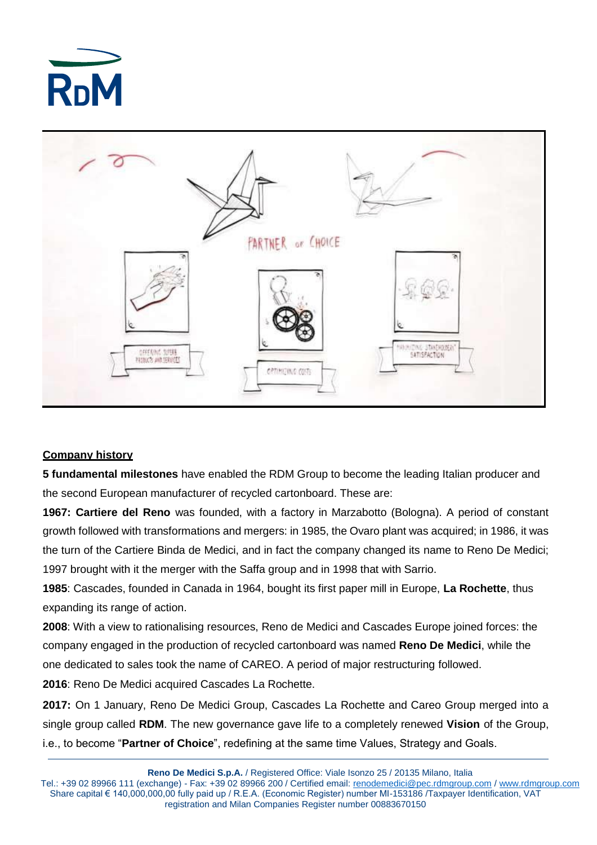



## **Company history**

**5 fundamental milestones** have enabled the RDM Group to become the leading Italian producer and the second European manufacturer of recycled cartonboard. These are:

**1967: Cartiere del Reno** was founded, with a factory in Marzabotto (Bologna). A period of constant growth followed with transformations and mergers: in 1985, the Ovaro plant was acquired; in 1986, it was the turn of the Cartiere Binda de Medici, and in fact the company changed its name to Reno De Medici; 1997 brought with it the merger with the Saffa group and in 1998 that with Sarrio.

**1985**: Cascades, founded in Canada in 1964, bought its first paper mill in Europe, **La Rochette**, thus expanding its range of action.

**2008**: With a view to rationalising resources, Reno de Medici and Cascades Europe joined forces: the company engaged in the production of recycled cartonboard was named **Reno De Medici**, while the one dedicated to sales took the name of CAREO. A period of major restructuring followed.

**2016**: Reno De Medici acquired Cascades La Rochette.

**2017:** On 1 January, Reno De Medici Group, Cascades La Rochette and Careo Group merged into a single group called **RDM**. The new governance gave life to a completely renewed **Vision** of the Group, i.e., to become "**Partner of Choice**", redefining at the same time Values, Strategy and Goals.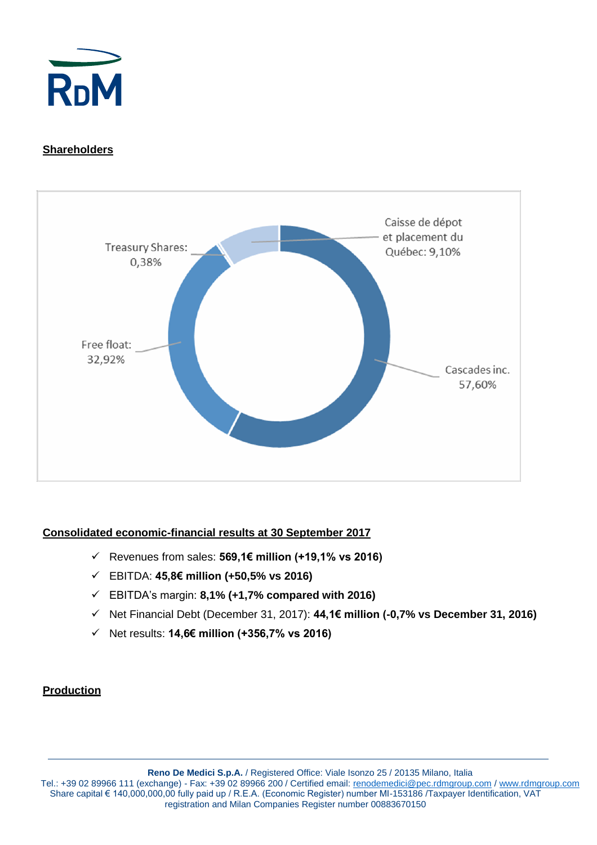

# **Shareholders**



## **Consolidated economic-financial results at 30 September 2017**

- ✓ Revenues from sales: **569,1€ million (+19,1% vs 2016)**
- ✓ EBITDA: **45,8€ million (+50,5% vs 2016)**
- ✓ EBITDA's margin: **8,1% (+1,7% compared with 2016)**
- ✓ Net Financial Debt (December 31, 2017): **44,1€ million (-0,7% vs December 31, 2016)**
- ✓ Net results: **14,6€ million (+356,7% vs 2016)**

#### **Production**

**Reno De Medici S.p.A.** / Registered Office: Viale Isonzo 25 / 20135 Milano, Italia Tel.: +39 02 89966 111 (exchange) - Fax: +39 02 89966 200 / Certified email: <u>renodemedici@pec.rdmgroup.com</u> [/ www.rdmgroup.com](http://www.rdmgroup.com/) Share capital € 140,000,000,00 fully paid up / R.E.A. (Economic Register) number MI-153186 /Taxpayer Identification, VAT registration and Milan Companies Register number 00883670150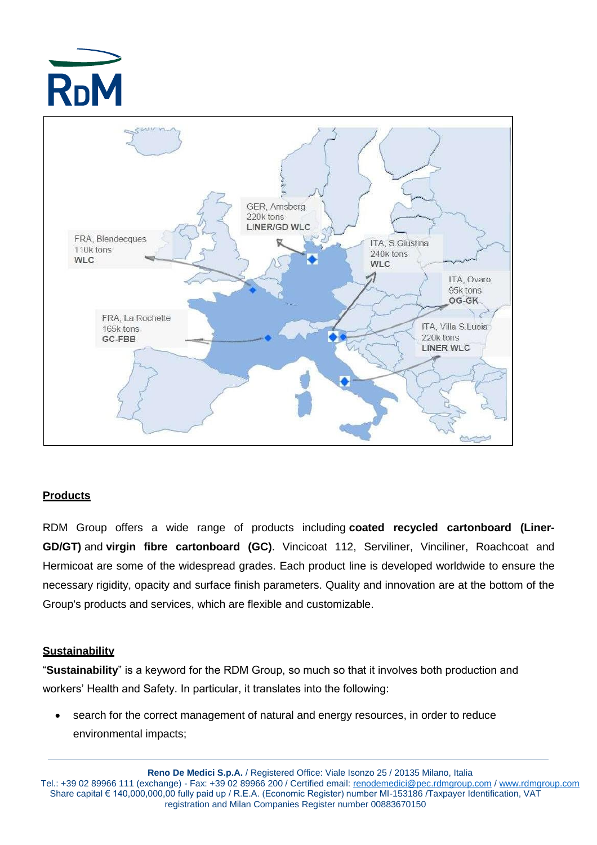



## **Products**

RDM Group offers a wide range of products including **coated recycled cartonboard (Liner-GD/GT)** and **virgin fibre cartonboard (GC)**. Vincicoat 112, Serviliner, Vinciliner, Roachcoat and Hermicoat are some of the widespread grades. Each product line is developed worldwide to ensure the necessary rigidity, opacity and surface finish parameters. Quality and innovation are at the bottom of the Group's products and services, which are flexible and customizable.

## **Sustainability**

"**Sustainability**" is a keyword for the RDM Group, so much so that it involves both production and workers' Health and Safety. In particular, it translates into the following:

• search for the correct management of natural and energy resources, in order to reduce environmental impacts;